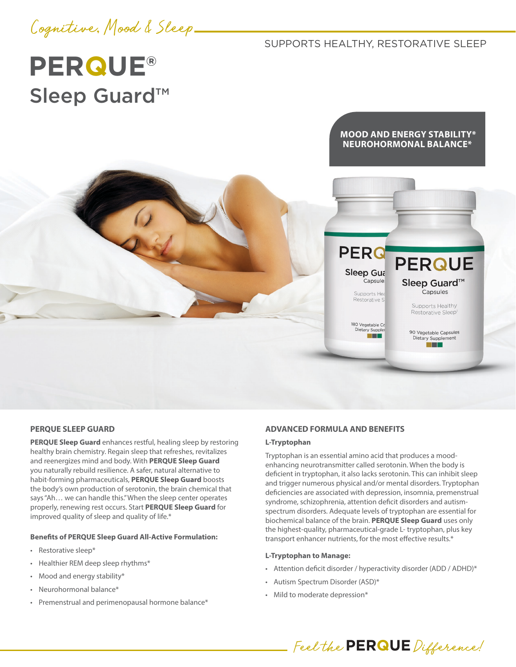

SUPPORTS HEALTHY, RESTORATIVE SLEEP

**PERG** 

Sleep Gut Capsule:

> Supports Hea Restorative S

180 Vegetable Ca Dietary Supple

# **PERQUE®** Sleep Guard™

# **MOOD AND ENERGY STABILITY\* NEUROHORMONAL BALANCE\***

**PERQUE** 

Sleep Guard<sup>™</sup> .<br>Capsules

> Supports Healthy Restorative Sleep

90 Vegetable Cansules Dietary Supplement n Tin

#### **PERQUE SLEEP GUARD**

**PERQUE Sleep Guard** enhances restful, healing sleep by restoring healthy brain chemistry. Regain sleep that refreshes, revitalizes and reenergizes mind and body. With **PERQUE Sleep Guard** you naturally rebuild resilience. A safer, natural alternative to habit-forming pharmaceuticals, **PERQUE Sleep Guard** boosts the body's own production of serotonin, the brain chemical that says "Ah… we can handle this." When the sleep center operates properly, renewing rest occurs. Start **PERQUE Sleep Guard** for improved quality of sleep and quality of life.\*

## **Benefits of PERQUE Sleep Guard All-Active Formulation:**

- Restorative sleep\*
- Healthier REM deep sleep rhythms\*
- Mood and energy stability\*
- Neurohormonal balance\*
- Premenstrual and perimenopausal hormone balance\*

#### **ADVANCED FORMULA AND BENEFITS**

#### **L-Tryptophan**

Tryptophan is an essential amino acid that produces a moodenhancing neurotransmitter called serotonin. When the body is deficient in tryptophan, it also lacks serotonin. This can inhibit sleep and trigger numerous physical and/or mental disorders. Tryptophan deficiencies are associated with depression, insomnia, premenstrual syndrome, schizophrenia, attention deficit disorders and autismspectrum disorders. Adequate levels of tryptophan are essential for biochemical balance of the brain. **PERQUE Sleep Guard** uses only the highest-quality, pharmaceutical-grade L- tryptophan, plus key transport enhancer nutrients, for the most effective results.\*

#### **L-Tryptophan to Manage:**

- Attention deficit disorder / hyperactivity disorder (ADD / ADHD)\*
- Autism Spectrum Disorder (ASD)\*
- Mild to moderate depression\*